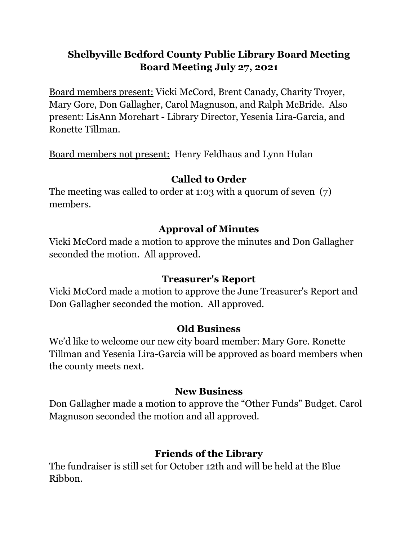## **Shelbyville Bedford County Public Library Board Meeting Board Meeting July 27, 2021**

Board members present: Vicki McCord, Brent Canady, Charity Troyer, Mary Gore, Don Gallagher, Carol Magnuson, and Ralph McBride. Also present: LisAnn Morehart - Library Director, Yesenia Lira-Garcia, and Ronette Tillman.

Board members not present: Henry Feldhaus and Lynn Hulan

# **Called to Order**

The meeting was called to order at 1:03 with a quorum of seven (7) members.

# **Approval of Minutes**

Vicki McCord made a motion to approve the minutes and Don Gallagher seconded the motion. All approved.

## **Treasurer's Report**

Vicki McCord made a motion to approve the June Treasurer's Report and Don Gallagher seconded the motion. All approved.

# **Old Business**

We'd like to welcome our new city board member: Mary Gore. Ronette Tillman and Yesenia Lira-Garcia will be approved as board members when the county meets next.

## **New Business**

Don Gallagher made a motion to approve the "Other Funds" Budget. Carol Magnuson seconded the motion and all approved.

# **Friends of the Library**

The fundraiser is still set for October 12th and will be held at the Blue Ribbon.